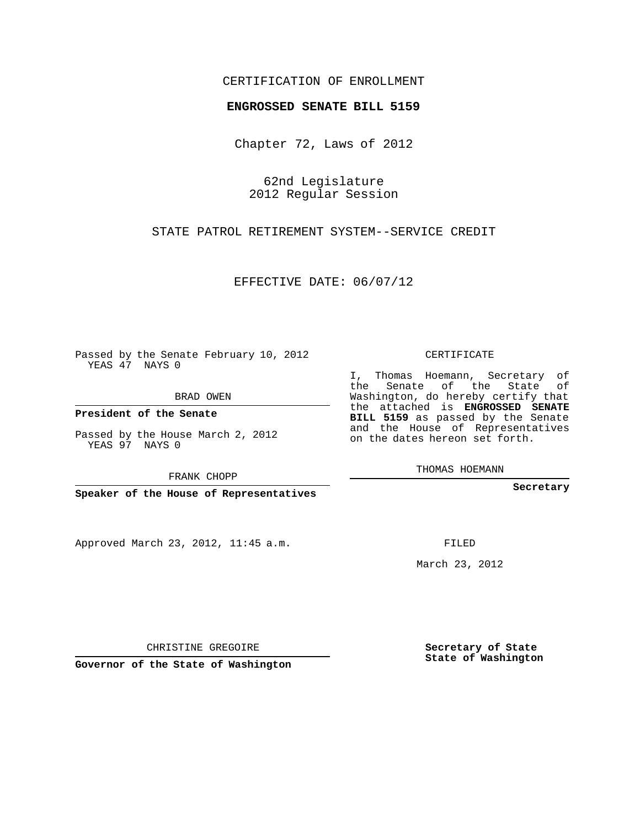## CERTIFICATION OF ENROLLMENT

## **ENGROSSED SENATE BILL 5159**

Chapter 72, Laws of 2012

62nd Legislature 2012 Regular Session

STATE PATROL RETIREMENT SYSTEM--SERVICE CREDIT

EFFECTIVE DATE: 06/07/12

Passed by the Senate February 10, 2012 YEAS 47 NAYS 0

BRAD OWEN

**President of the Senate**

Passed by the House March 2, 2012 YEAS 97 NAYS 0

FRANK CHOPP

**Speaker of the House of Representatives**

Approved March 23, 2012, 11:45 a.m.

CERTIFICATE

I, Thomas Hoemann, Secretary of the Senate of the State of Washington, do hereby certify that the attached is **ENGROSSED SENATE BILL 5159** as passed by the Senate and the House of Representatives on the dates hereon set forth.

THOMAS HOEMANN

**Secretary**

FILED

March 23, 2012

**Secretary of State State of Washington**

CHRISTINE GREGOIRE

**Governor of the State of Washington**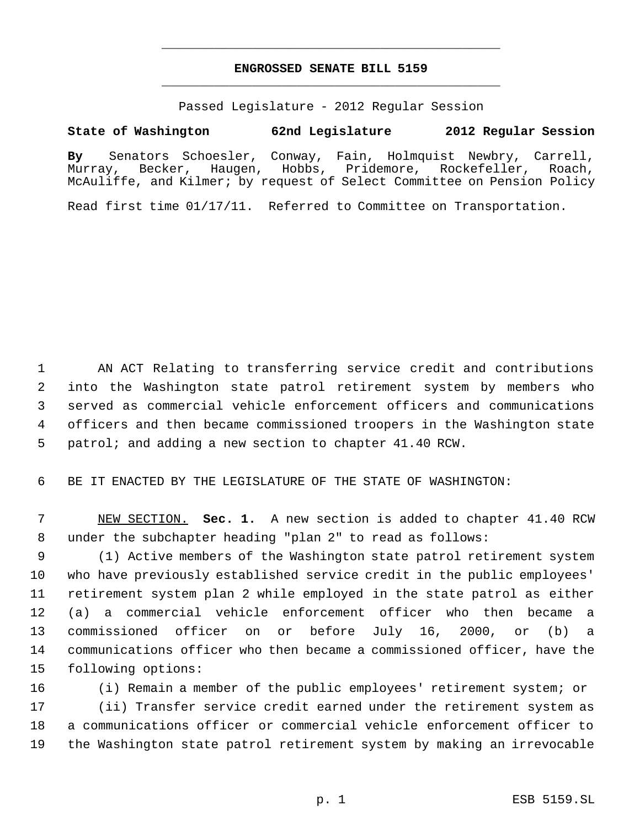## **ENGROSSED SENATE BILL 5159** \_\_\_\_\_\_\_\_\_\_\_\_\_\_\_\_\_\_\_\_\_\_\_\_\_\_\_\_\_\_\_\_\_\_\_\_\_\_\_\_\_\_\_\_\_

\_\_\_\_\_\_\_\_\_\_\_\_\_\_\_\_\_\_\_\_\_\_\_\_\_\_\_\_\_\_\_\_\_\_\_\_\_\_\_\_\_\_\_\_\_

Passed Legislature - 2012 Regular Session

## **State of Washington 62nd Legislature 2012 Regular Session**

**By** Senators Schoesler, Conway, Fain, Holmquist Newbry, Carrell, Murray, Becker, Haugen, Hobbs, Pridemore, Rockefeller, Roach, McAuliffe, and Kilmer; by request of Select Committee on Pension Policy

Read first time 01/17/11. Referred to Committee on Transportation.

 AN ACT Relating to transferring service credit and contributions into the Washington state patrol retirement system by members who served as commercial vehicle enforcement officers and communications officers and then became commissioned troopers in the Washington state patrol; and adding a new section to chapter 41.40 RCW.

BE IT ENACTED BY THE LEGISLATURE OF THE STATE OF WASHINGTON:

 NEW SECTION. **Sec. 1.** A new section is added to chapter 41.40 RCW under the subchapter heading "plan 2" to read as follows:

 (1) Active members of the Washington state patrol retirement system who have previously established service credit in the public employees' retirement system plan 2 while employed in the state patrol as either (a) a commercial vehicle enforcement officer who then became a commissioned officer on or before July 16, 2000, or (b) a communications officer who then became a commissioned officer, have the following options:

 (i) Remain a member of the public employees' retirement system; or (ii) Transfer service credit earned under the retirement system as a communications officer or commercial vehicle enforcement officer to the Washington state patrol retirement system by making an irrevocable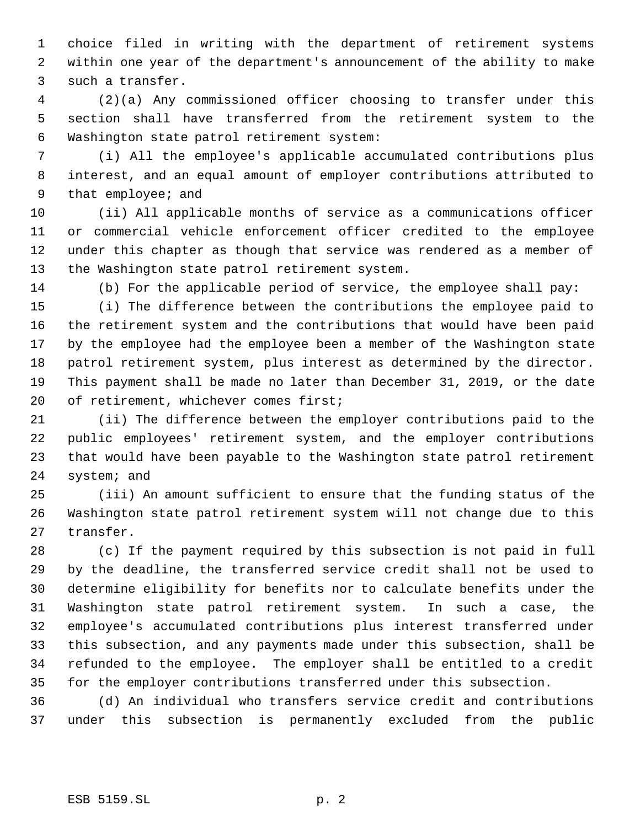choice filed in writing with the department of retirement systems within one year of the department's announcement of the ability to make such a transfer.

 (2)(a) Any commissioned officer choosing to transfer under this section shall have transferred from the retirement system to the Washington state patrol retirement system:

 (i) All the employee's applicable accumulated contributions plus interest, and an equal amount of employer contributions attributed to that employee; and

 (ii) All applicable months of service as a communications officer or commercial vehicle enforcement officer credited to the employee under this chapter as though that service was rendered as a member of the Washington state patrol retirement system.

(b) For the applicable period of service, the employee shall pay:

 (i) The difference between the contributions the employee paid to the retirement system and the contributions that would have been paid by the employee had the employee been a member of the Washington state patrol retirement system, plus interest as determined by the director. This payment shall be made no later than December 31, 2019, or the date 20 of retirement, whichever comes first;

 (ii) The difference between the employer contributions paid to the public employees' retirement system, and the employer contributions that would have been payable to the Washington state patrol retirement system; and

 (iii) An amount sufficient to ensure that the funding status of the Washington state patrol retirement system will not change due to this transfer.

 (c) If the payment required by this subsection is not paid in full by the deadline, the transferred service credit shall not be used to determine eligibility for benefits nor to calculate benefits under the Washington state patrol retirement system. In such a case, the employee's accumulated contributions plus interest transferred under this subsection, and any payments made under this subsection, shall be refunded to the employee. The employer shall be entitled to a credit for the employer contributions transferred under this subsection.

 (d) An individual who transfers service credit and contributions under this subsection is permanently excluded from the public